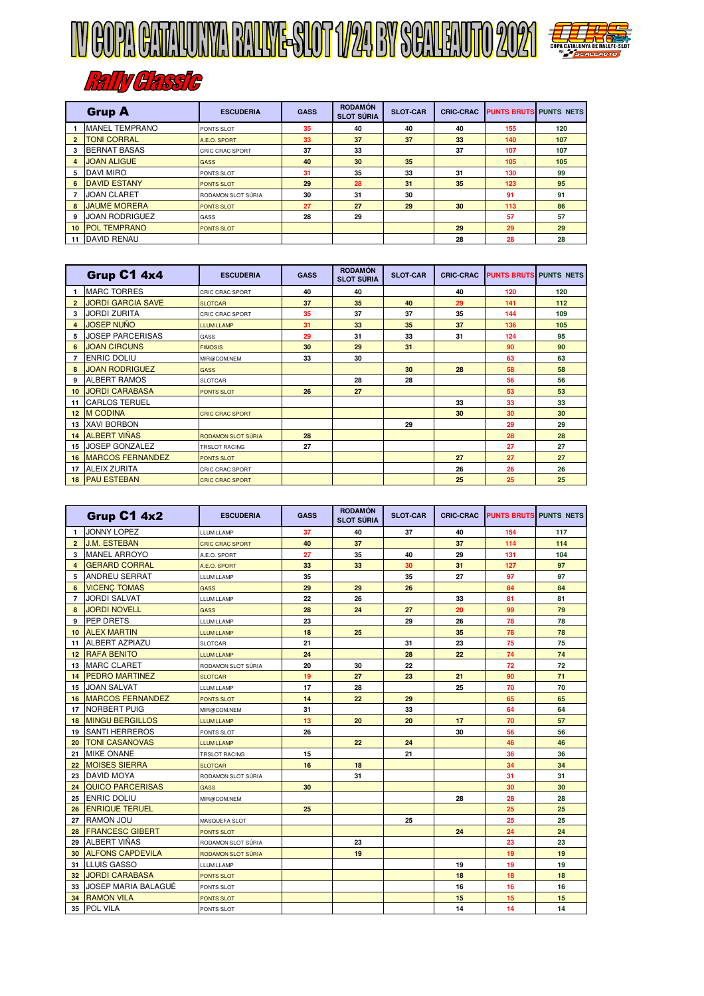



## **RATIV GRESSIC**

|                         | <b>Grup A</b>         | <b>ESCUDERIA</b>       | <b>GASS</b> | <b>RODAMÓN</b><br><b>SLOT SÚRIA</b> | <b>SLOT-CAR</b> | <b>CRIC-CRAC</b> | <b>PUNTS BRUTS PUNTS NETS</b> |     |
|-------------------------|-----------------------|------------------------|-------------|-------------------------------------|-----------------|------------------|-------------------------------|-----|
|                         | <b>MANEL TEMPRANO</b> | PONTS SLOT             | 35          | 40                                  | 40              | 40               | 155                           | 120 |
| $\overline{\mathbf{2}}$ | <b>TONI CORRAL</b>    | A.E.O. SPORT           | 33          | 37                                  | 37              | 33               | 140                           | 107 |
| з                       | <b>BERNAT BASAS</b>   | <b>CRIC CRAC SPORT</b> | 37          | 33                                  |                 | 37               | 107                           | 107 |
| $\overline{4}$          | <b>JOAN ALIGUE</b>    | <b>GASS</b>            | 40          | 30                                  | 35              |                  | 105                           | 105 |
| 5                       | <b>DAVI MIRO</b>      | PONTS SLOT             | 31          | 35                                  | 33              | 31               | 130                           | 99  |
| 6                       | <b>DAVID ESTANY</b>   | <b>PONTS SLOT</b>      | 29          | 28                                  | 31              | 35               | 123                           | 95  |
|                         | <b>JOAN CLARET</b>    | RODAMON SLOT SÚRIA     | 30          | 31                                  | 30              |                  | 91                            | 91  |
| 8                       | <b>JAUME MORERA</b>   | <b>PONTS SLOT</b>      | 27          | 27                                  | 29              | 30               | 113                           | 86  |
| 9                       | <b>JOAN RODRIGUEZ</b> | GASS                   | 28          | 29                                  |                 |                  | 57                            | 57  |
| 10                      | <b>POL TEMPRANO</b>   | <b>PONTS SLOT</b>      |             |                                     |                 | 29               | 29                            | 29  |
| 11                      | <b>DAVID RENAU</b>    |                        |             |                                     |                 | 28               | 28                            | 28  |

|                | Grup C1 4x4              | <b>ESCUDERIA</b>          | <b>GASS</b> | <b>RODAMÓN</b><br><b>SLOT SÚRIA</b> | <b>SLOT-CAR</b> | <b>CRIC-CRAC</b> | <b>PUNTS BRUTS PUNTS NETS</b> |     |
|----------------|--------------------------|---------------------------|-------------|-------------------------------------|-----------------|------------------|-------------------------------|-----|
|                | <b>MARC TORRES</b>       | <b>CRIC CRAC SPORT</b>    | 40          | 40                                  |                 | 40               | 120                           | 120 |
| $\overline{2}$ | <b>JORDI GARCIA SAVE</b> | <b>SLOTCAR</b>            | 37          | 35                                  | 40              | 29               | 141                           | 112 |
| 3              | <b>JORDI ZURITA</b>      | <b>CRIC CRAC SPORT</b>    | 35          | 37                                  | 37              | 35               | 144                           | 109 |
| $\overline{a}$ | <b>JOSEP NUÑO</b>        | <b>ITUMITAMP</b>          | 31          | 33                                  | 35              | 37               | 136                           | 105 |
| 5              | <b>JOSEP PARCERISAS</b>  | GASS                      | 29          | 31                                  | 33              | 31               | 124                           | 95  |
| 6              | <b>JOAN CIRCUNS</b>      | <b>FIMOSIS</b>            | 30          | 29                                  | 31              |                  | 90                            | 90  |
| 7              | <b>ENRIC DOLIU</b>       | MIR@COM.NEM               | 33          | 30                                  |                 |                  | 63                            | 63  |
| 8              | <b>JOAN RODRIGUEZ</b>    | <b>GASS</b>               |             |                                     | 30              | 28               | 58                            | 58  |
| 9              | <b>ALBERT RAMOS</b>      | SLOTCAR                   |             | 28                                  | 28              |                  | 56                            | 56  |
| 10             | <b>JORDI CARABASA</b>    | <b>PONTS SLOT</b>         | 26          | 27                                  |                 |                  | 53                            | 53  |
| 11             | <b>CARLOS TERUEL</b>     |                           |             |                                     |                 | 33               | 33                            | 33  |
| 12             | <b>M CODINA</b>          | <b>CRIC CRAC SPORT</b>    |             |                                     |                 | 30               | 30                            | 30  |
| 13             | <b>XAVI BORBON</b>       |                           |             |                                     | 29              |                  | 29                            | 29  |
| 14             | <b>ALBERT VIÑAS</b>      | <b>RODAMON SLOT SÚRIA</b> | 28          |                                     |                 |                  | 28                            | 28  |
| 15             | <b>JOSEP GONZALEZ</b>    | <b>TRSLOT RACING</b>      | 27          |                                     |                 |                  | 27                            | 27  |
| 16             | <b>MARCOS FERNANDEZ</b>  | <b>PONTS SLOT</b>         |             |                                     |                 | 27               | 27                            | 27  |
| 17             | <b>ALEIX ZURITA</b>      | <b>CRIC CRAC SPORT</b>    |             |                                     |                 | 26               | 26                            | 26  |
|                | <b>18 PAU ESTEBAN</b>    | <b>CRIC CRAC SPORT</b>    |             |                                     |                 | 25               | 25                            | 25  |

|                | Grup C1 4x2             | <b>ESCUDERIA</b>       | <b>GASS</b> | <b>RODAMÓN</b><br><b>SLOT SÚRIA</b> | <b>SLOT-CAR</b> | <b>CRIC-CRAC</b> | <b>PUNTS BRUTS</b> | <b>PUNTS NETS</b> |
|----------------|-------------------------|------------------------|-------------|-------------------------------------|-----------------|------------------|--------------------|-------------------|
| $\mathbf{1}$   | <b>JONNY LOPEZ</b>      | <b>LLUM LLAMP</b>      | 37          | 40                                  | 37              | 40               | 154                | 117               |
| $\overline{2}$ | <b>J.M. ESTEBAN</b>     | <b>CRIC CRAC SPORT</b> | 40          | 37                                  |                 | 37               | 114                | 114               |
| 3              | <b>MANEL ARROYO</b>     | A.E.O. SPORT           | 27          | 35                                  | 40              | 29               | 131                | 104               |
| $\overline{4}$ | <b>GERARD CORRAL</b>    | A.E.O. SPORT           | 33          | 33                                  | 30              | 31               | 127                | 97                |
| 5              | <b>ANDREU SERRAT</b>    | LLUM LLAMP             | 35          |                                     | 35              | 27               | 97                 | 97                |
| 6              | <b>VICENC TOMAS</b>     | <b>GASS</b>            | 29          | 29                                  | 26              |                  | 84                 | 84                |
| 7              | <b>JORDI SALVAT</b>     | LLUM LLAMP             | 22          | 26                                  |                 | 33               | 81                 | 81                |
| 8              | <b>JORDI NOVELL</b>     | <b>GASS</b>            | 28          | 24                                  | 27              | 20               | 99                 | 79                |
| 9              | <b>PEP DRETS</b>        | LLUM LLAMP             | 23          |                                     | 29              | 26               | 78                 | 78                |
| 10             | <b>ALEX MARTIN</b>      | <b>LLUM LLAMP</b>      | 18          | 25                                  |                 | 35               | 78                 | 78                |
| 11             | <b>ALBERT AZPIAZU</b>   | <b>SLOTCAR</b>         | 21          |                                     | 31              | 23               | 75                 | 75                |
| 12             | <b>RAFA BENITO</b>      | <b>LLUM LLAMP</b>      | 24          |                                     | 28              | 22               | 74                 | 74                |
| 13             | <b>MARC CLARET</b>      | RODAMON SLOT SÚRIA     | 20          | 30                                  | 22              |                  | 72                 | 72                |
| 14             | <b>PEDRO MARTINEZ</b>   | <b>SLOTCAR</b>         | 19          | 27                                  | 23              | 21               | 90                 | 71                |
| 15             | <b>JOAN SALVAT</b>      | LLUM LLAMP             | 17          | 28                                  |                 | 25               | 70                 | 70                |
| 16             | <b>MARCOS FERNANDEZ</b> | PONTS SLOT             | 14          | 22                                  | 29              |                  | 65                 | 65                |
| 17             | <b>NORBERT PUIG</b>     | MIR@COM.NEM            | 31          |                                     | 33              |                  | 64                 | 64                |
| 18             | <b>MINGU BERGILLOS</b>  | <b>LLUM LLAMP</b>      | 13          | 20                                  | 20              | 17               | 70                 | 57                |
| 19             | <b>SANTI HERREROS</b>   | PONTS SLOT             | 26          |                                     |                 | 30               | 56                 | 56                |
| 20             | <b>TONI CASANOVAS</b>   | <b>LLUM LLAMP</b>      |             | 22                                  | 24              |                  | 46                 | 46                |
| 21             | <b>MIKE ONANE</b>       | TRSLOT RACING          | 15          |                                     | 21              |                  | 36                 | 36                |
| 22             | <b>MOISES SIERRA</b>    | <b>SLOTCAR</b>         | 16          | 18                                  |                 |                  | 34                 | 34                |
| 23             | <b>DAVID MOYA</b>       | RODAMON SLOT SÚRIA     |             | 31                                  |                 |                  | 31                 | 31                |
| 24             | QUICO PARCERISAS        | <b>GASS</b>            | 30          |                                     |                 |                  | 30                 | 30                |
| 25             | <b>ENRIC DOLIU</b>      | MIR@COM.NEM            |             |                                     |                 | 28               | 28                 | 28                |
| 26             | <b>ENRIQUE TERUEL</b>   |                        | 25          |                                     |                 |                  | 25                 | 25                |
| 27             | <b>RAMON JOU</b>        | MASQUEFA SLOT          |             |                                     | 25              |                  | 25                 | 25                |
| 28             | <b>FRANCESC GIBERT</b>  | <b>PONTS SLOT</b>      |             |                                     |                 | 24               | 24                 | 24                |
| 29             | <b>ALBERT VIÑAS</b>     | RODAMON SLOT SÚRIA     |             | 23                                  |                 |                  | 23                 | 23                |
| 30             | <b>ALFONS CAPDEVILA</b> | RODAMON SLOT SÚRIA     |             | 19                                  |                 |                  | 19                 | 19                |
| 31             | <b>LLUIS GASSO</b>      | LLUM LLAMP             |             |                                     |                 | 19               | 19                 | 19                |
| 32             | <b>JORDI CARABASA</b>   | <b>PONTS SLOT</b>      |             |                                     |                 | 18               | 18                 | 18                |
| 33             | JOSEP MARIA BALAGUÉ     | PONTS SLOT             |             |                                     |                 | 16               | 16                 | 16                |
| 34             | <b>RAMON VILA</b>       | PONTS SLOT             |             |                                     |                 | 15               | 15                 | 15                |
| 35             | POL VILA                | PONTS SLOT             |             |                                     |                 | 14               | 14                 | 14                |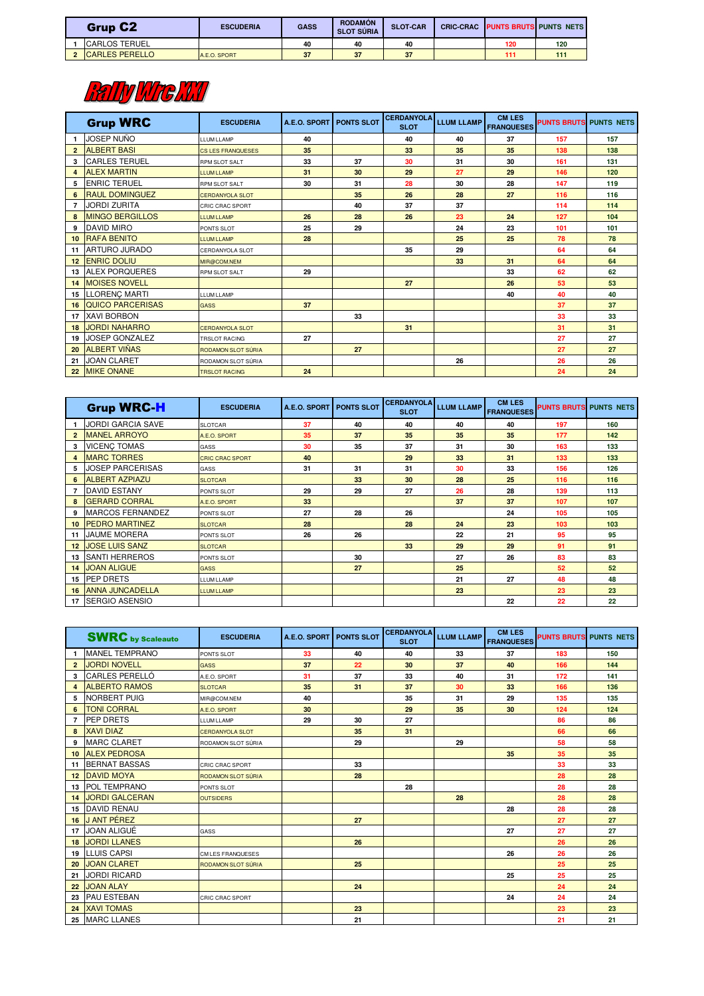| <b>Grup C2</b>         | <b>ESCUDERIA</b> | <b>GASS</b> | <b>RODAMÓN</b><br><b>SLOT SÚRIA</b> | <b>SLOT-CAR</b> | <b>CRIC-CRAC</b> |     | <b>PUNTS BRUTS PUNTS NETS</b> |
|------------------------|------------------|-------------|-------------------------------------|-----------------|------------------|-----|-------------------------------|
| <b>ICARLOS TERUEL</b>  |                  | 40          | 40                                  | 40              |                  | 120 | 120                           |
| <b>ICARLES PERELLO</b> | A.E.O. SPORT     | 37          | 37                                  | 37              |                  | 111 | 11 <sup>1</sup>               |

## **Railly MrcMT**

|                  | <b>Grup WRC</b>        | <b>ESCUDERIA</b>         | A.E.O. SPORT | <b>PONTS SLOT</b> | <b>CERDANYOLA</b><br><b>SLOT</b> | <b>LLUM LLAMP</b> | <b>CM LES</b><br><b>FRANQUESES</b> | <b>PUNTS BRUTS PUNTS NETS</b> |     |
|------------------|------------------------|--------------------------|--------------|-------------------|----------------------------------|-------------------|------------------------------------|-------------------------------|-----|
|                  | <b>JOSEP NUÑO</b>      | <b>LLUM LLAMP</b>        | 40           |                   | 40                               | 40                | 37                                 | 157                           | 157 |
| $\overline{2}$   | <b>ALBERT BASI</b>     | <b>CS LES FRANQUESES</b> | 35           |                   | 33                               | 35                | 35                                 | 138                           | 138 |
| 3                | <b>CARLES TERUEL</b>   | <b>RPM SLOT SALT</b>     | 33           | 37                | 30                               | 31                | 30                                 | 161                           | 131 |
| 4                | <b>ALEX MARTIN</b>     | <b>ITUMITAMP</b>         | 31           | 30                | 29                               | 27                | 29                                 | 146                           | 120 |
| 5                | <b>ENRIC TERUEL</b>    | <b>RPM SLOT SALT</b>     | 30           | 31                | 28                               | 30                | 28                                 | 147                           | 119 |
| 6                | <b>RAUL DOMINGUEZ</b>  | <b>CERDANYOLA SLOT</b>   |              | 35                | 26                               | 28                | 27                                 | 116                           | 116 |
| 7                | <b>JORDI ZURITA</b>    | <b>CRIC CRAC SPORT</b>   |              | 40                | 37                               | 37                |                                    | 114                           | 114 |
| 8                | <b>MINGO BERGILLOS</b> | <b>ITUMITAMP</b>         | 26           | 28                | 26                               | 23                | 24                                 | 127                           | 104 |
| 9                | DAVID MIRO             | PONTS SLOT               | 25           | 29                |                                  | 24                | 23                                 | 101                           | 101 |
| 10 <sup>10</sup> | <b>RAFA BENITO</b>     | <b>LLUM LLAMP</b>        | 28           |                   |                                  | 25                | 25                                 | 78                            | 78  |
| 11               | <b>ARTURO JURADO</b>   | <b>CERDANYOLA SLOT</b>   |              |                   | 35                               | 29                |                                    | 64                            | 64  |
| 12               | <b>ENRIC DOLIU</b>     | MIR@COM.NEM              |              |                   |                                  | 33                | 31                                 | 64                            | 64  |
| 13               | <b>ALEX PORQUERES</b>  | <b>RPM SLOT SALT</b>     | 29           |                   |                                  |                   | 33                                 | 62                            | 62  |
| 14               | <b>MOISES NOVELL</b>   |                          |              |                   | 27                               |                   | 26                                 | 53                            | 53  |
| 15               | <b>LLORENC MARTI</b>   | <b>ITUM LLAMP</b>        |              |                   |                                  |                   | 40                                 | 40                            | 40  |
| 16               | QUICO PARCERISAS       | <b>GASS</b>              | 37           |                   |                                  |                   |                                    | 37                            | 37  |
| 17               | <b>XAVI BORBON</b>     |                          |              | 33                |                                  |                   |                                    | 33                            | 33  |
| 18               | <b>JORDI NAHARRO</b>   | <b>CERDANYOLA SLOT</b>   |              |                   | 31                               |                   |                                    | 31                            | 31  |
| 19               | <b>JOSEP GONZALEZ</b>  | <b>TRSLOT RACING</b>     | 27           |                   |                                  |                   |                                    | 27                            | 27  |
| 20               | <b>ALBERT VIÑAS</b>    | RODAMON SLOT SÚRIA       |              | 27                |                                  |                   |                                    | 27                            | 27  |
| 21               | <b>JOAN CLARET</b>     | RODAMON SLOT SÚRIA       |              |                   |                                  | 26                |                                    | 26                            | 26  |
|                  | 22 MIKE ONANE          | <b>TRSLOT RACING</b>     | 24           |                   |                                  |                   |                                    | 24                            | 24  |

|                 | <b>Grup WRC-H</b>         | <b>ESCUDERIA</b>       | A.E.O. SPORT | <b>PONTS SLOT</b> | <b>CERDANYOLA</b><br><b>SLOT</b> | <b>LLUM LLAMP</b> | <b>CM LES</b><br><b>FRANQUESES</b> | <b>PUNTS BRUTS PUNTS NETS</b> |     |
|-----------------|---------------------------|------------------------|--------------|-------------------|----------------------------------|-------------------|------------------------------------|-------------------------------|-----|
|                 | <b>JORDI GARCIA SAVE</b>  | <b>SLOTCAR</b>         | 37           | 40                | 40                               | 40                | 40                                 | 197                           | 160 |
| $\mathbf{2}$    | <b>MANEL ARROYO</b>       | A.E.O. SPORT           | 35           | 37                | 35                               | 35                | 35                                 | 177                           | 142 |
| 3               | <b>VICENC TOMAS</b>       | GASS                   | 30           | 35                | 37                               | 31                | 30                                 | 163                           | 133 |
| 4               | <b>MARC TORRES</b>        | <b>CRIC CRAC SPORT</b> | 40           |                   | 29                               | 33                | 31                                 | 133                           | 133 |
| 5               | <b>JOSEP PARCERISAS</b>   | GASS                   | 31           | 31                | 31                               | 30                | 33                                 | 156                           | 126 |
| 6               | <b>ALBERT AZPIAZU</b>     | <b>SLOTCAR</b>         |              | 33                | 30                               | 28                | 25                                 | 116                           | 116 |
|                 | <b>DAVID ESTANY</b>       | PONTS SLOT             | 29           | 29                | 27                               | 26                | 28                                 | 139                           | 113 |
| 8               | <b>GERARD CORRAL</b>      | A.E.O. SPORT           | 33           |                   |                                  | 37                | 37                                 | 107                           | 107 |
| 9               | <b>MARCOS FERNANDEZ</b>   | PONTS SLOT             | 27           | 28                | 26                               |                   | 24                                 | 105                           | 105 |
| 10 <sup>1</sup> | <b>PEDRO MARTINEZ</b>     | <b>SLOTCAR</b>         | 28           |                   | 28                               | 24                | 23                                 | 103                           | 103 |
| 11              | <b>JAUME MORERA</b>       | PONTS SLOT             | 26           | 26                |                                  | 22                | 21                                 | 95                            | 95  |
| 12 <sup>2</sup> | <b>JOSE LUIS SANZ</b>     | SLOTCAR                |              |                   | 33                               | 29                | 29                                 | 91                            | 91  |
| 13              | <b>SANTI HERREROS</b>     | PONTS SLOT             |              | 30                |                                  | 27                | 26                                 | 83                            | 83  |
| 14              | <b>JOAN ALIGUE</b>        | <b>GASS</b>            |              | 27                |                                  | 25                |                                    | 52                            | 52  |
| 15              | <b>PEP DRETS</b>          | <b>LLUM LLAMP</b>      |              |                   |                                  | 21                | 27                                 | 48                            | 48  |
| 16              | <b>ANNA JUNCADELLA</b>    | <b>LLUM LLAMP</b>      |              |                   |                                  | 23                |                                    | 23                            | 23  |
|                 | 17 <b>ISERGIO ASENSIO</b> |                        |              |                   |                                  |                   | 22                                 | 22                            | 22  |

|                  | <b>SWRC</b> by Scaleauto | <b>ESCUDERIA</b>       | A.E.O. SPORT | <b>PONTS SLOT</b> | <b>CERDANYOLA</b><br><b>SLOT</b> | <b>LLUM LLAMP</b> | <b>CM LES</b><br><b>FRANQUESES</b> | <b>PUNTS BRUTS PUNTS NETS</b> |     |
|------------------|--------------------------|------------------------|--------------|-------------------|----------------------------------|-------------------|------------------------------------|-------------------------------|-----|
| $\mathbf{1}$     | <b>MANEL TEMPRANO</b>    | PONTS SLOT             | 33           | 40                | 40                               | 33                | 37                                 | 183                           | 150 |
| $\overline{2}$   | <b>JORDI NOVELL</b>      | <b>GASS</b>            | 37           | 22                | 30                               | 37                | 40                                 | 166                           | 144 |
| 3                | CARLES PERELLÓ           | A.E.O. SPORT           | 31           | 37                | 33                               | 40                | 31                                 | 172                           | 141 |
| 4                | <b>ALBERTO RAMOS</b>     | <b>SLOTCAR</b>         | 35           | 31                | 37                               | 30                | 33                                 | 166                           | 136 |
| 5                | <b>NORBERT PUIG</b>      | MIR@COM.NEM            | 40           |                   | 35                               | 31                | 29                                 | 135                           | 135 |
| 6                | <b>TONI CORRAL</b>       | A.E.O. SPORT           | 30           |                   | 29                               | 35                | 30                                 | 124                           | 124 |
| 7                | <b>PEP DRETS</b>         | <b>LLUM LLAMP</b>      | 29           | 30                | 27                               |                   |                                    | 86                            | 86  |
| 8                | <b>XAVI DIAZ</b>         | <b>CERDANYOLA SLOT</b> |              | 35                | 31                               |                   |                                    | 66                            | 66  |
| 9                | <b>MARC CLARET</b>       | RODAMON SLOT SÚRIA     |              | 29                |                                  | 29                |                                    | 58                            | 58  |
| 10 <sup>10</sup> | <b>ALEX PEDROSA</b>      |                        |              |                   |                                  |                   | 35                                 | 35                            | 35  |
| 11               | <b>BERNAT BASSAS</b>     | CRIC CRAC SPORT        |              | 33                |                                  |                   |                                    | 33                            | 33  |
| 12               | <b>DAVID MOYA</b>        | RODAMON SLOT SÚRIA     |              | 28                |                                  |                   |                                    | 28                            | 28  |
| 13               | <b>POL TEMPRANO</b>      | PONTS SLOT             |              |                   | 28                               |                   |                                    | 28                            | 28  |
| 14               | <b>JORDI GALCERAN</b>    | <b>OUTSIDERS</b>       |              |                   |                                  | 28                |                                    | 28                            | 28  |
| 15               | <b>DAVID RENAU</b>       |                        |              |                   |                                  |                   | 28                                 | 28                            | 28  |
| 16               | <b>J ANT PÉREZ</b>       |                        |              | 27                |                                  |                   |                                    | 27                            | 27  |
| 17               | <b>JOAN ALIGUÉ</b>       | <b>GASS</b>            |              |                   |                                  |                   | 27                                 | 27                            | 27  |
| 18               | <b>JORDI LLANES</b>      |                        |              | 26                |                                  |                   |                                    | 26                            | 26  |
| 19               | <b>LLUIS CAPSI</b>       | CM LES FRANQUESES      |              |                   |                                  |                   | 26                                 | 26                            | 26  |
| 20               | <b>JOAN CLARET</b>       | RODAMON SLOT SÚRIA     |              | 25                |                                  |                   |                                    | 25                            | 25  |
| 21               | <b>JORDI RICARD</b>      |                        |              |                   |                                  |                   | 25                                 | 25                            | 25  |
| 22               | <b>JOAN ALAY</b>         |                        |              | 24                |                                  |                   |                                    | 24                            | 24  |
| 23               | <b>PAU ESTEBAN</b>       | CRIC CRAC SPORT        |              |                   |                                  |                   | 24                                 | 24                            | 24  |
| 24               | <b>XAVI TOMAS</b>        |                        |              | 23                |                                  |                   |                                    | 23                            | 23  |
| 25               | <b>MARC LLANES</b>       |                        |              | 21                |                                  |                   |                                    | 21                            | 21  |